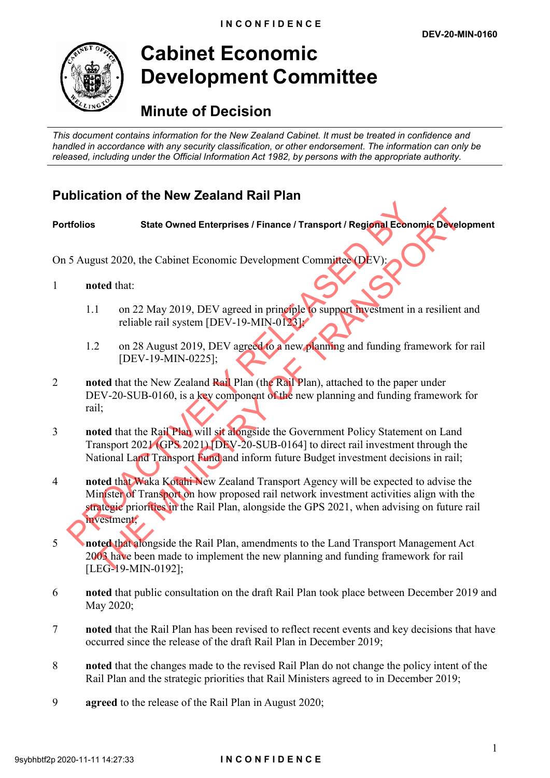

# **Cabinet Economic Development Committee**

# **Minute of Decision**

*This document contains information for the New Zealand Cabinet. It must be treated in confidence and handled in accordance with any security classification, or other endorsement. The information can only be released, including under the Official Information Act 1982, by persons with the appropriate authority.*

## **Publication of the New Zealand Rail Plan**

## **Portfolios State Owned Enterprises / Finance / Transport / Regional Economic Development**

On 5 August 2020, the Cabinet Economic Development Committee (DEV):

- 1 **noted** that:
	- 1.1 on 22 May 2019, DEV agreed in principle to support investment in a resilient and reliable rail system [DEV-19-MIN-0123];
	- 1.2 on 28 August 2019, DEV agreed to a new planning and funding framework for rail [DEV-19-MIN-0225];
- 2 **noted** that the New Zealand Rail Plan (the Rail Plan), attached to the paper under DEV-20-SUB-0160, is a key component of the new planning and funding framework for rail;
- 3 **noted** that the Rail Plan will sit alongside the Government Policy Statement on Land Transport 2021 (GPS 2021) [DEV-20-SUB-0164] to direct rail investment through the National Land Transport Fund and inform future Budget investment decisions in rail;
- 4 **noted** that Waka Kotahi New Zealand Transport Agency will be expected to advise the Minister of Transport on how proposed rail network investment activities align with the strategic priorities in the Rail Plan, alongside the GPS 2021, when advising on future rail investment; Transport 2020, the Cabinet Economic Development Committee (DEV):<br>
2020, the Cabinet Economic Development Committee (DEV):<br>
2020, the Cabinet Economic Development Committee (DEV):<br>
2020, the Cabinet Economic Development Co State Owned Enterprises / Finance / Transport / Regional Economic Ocyclop<br>sust 2020, the Cabinet Economic Development Committee (DEV):<br>oted that:<br>on 22 May 2019, DEV agreed in principle to support investment in a resilient
- 5 **noted** that alongside the Rail Plan, amendments to the Land Transport Management Act 2003 have been made to implement the new planning and funding framework for rail [LEG-19-MIN-0192];
- 6 **noted** that public consultation on the draft Rail Plan took place between December 2019 and May 2020;
- 7 **noted** that the Rail Plan has been revised to reflect recent events and key decisions that have occurred since the release of the draft Rail Plan in December 2019;
- 8 **noted** that the changes made to the revised Rail Plan do not change the policy intent of the Rail Plan and the strategic priorities that Rail Ministers agreed to in December 2019;
- 9 **agreed** to the release of the Rail Plan in August 2020;